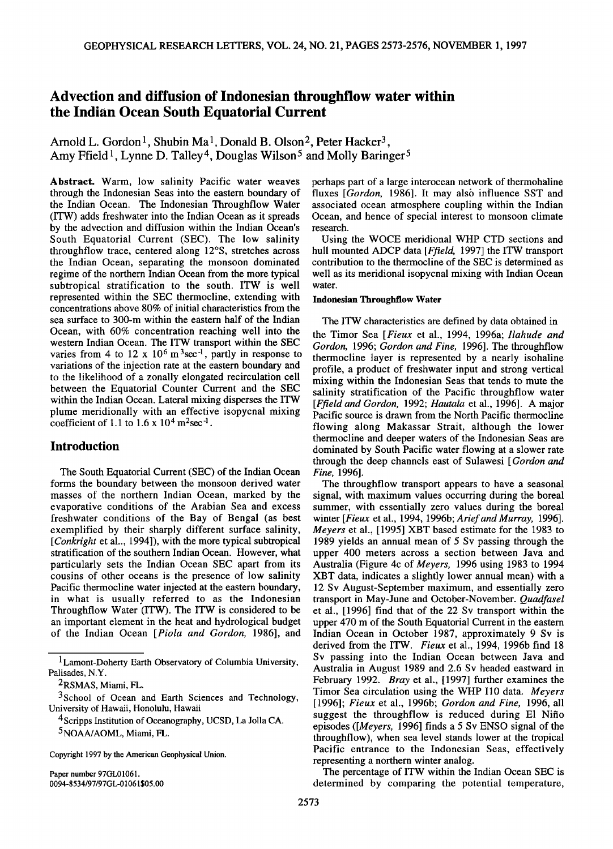# **Advection and diffusion of Indonesian throughflow water within the Indian Ocean South Equatorial Current**

Arnold L. Gordon<sup>1</sup>, Shubin Ma<sup>1</sup>, Donald B. Olson<sup>2</sup>, Peter Hacker<sup>3</sup>, Amy Ffield<sup>1</sup>, Lynne D. Talley<sup>4</sup>, Douglas Wilson<sup>5</sup> and Molly Baringer<sup>5</sup>

**Abstract. Warm, low salinity Pacific water weaves through the Indonesian Seas into the eastern boundary of the Indian Ocean. The Indonesian Throughflow Water (ITW) adds freshwater into the Indian Ocean as it spreads by the advection and diffusion within the Indian Ocean's South Equatorial Current (SEC). The low salinity throughflow trace, centered along 12øS, stretches across the Indian Ocean, separating the monsoon dominated regime of the northern Indian Ocean from the more typical subtropical stratification to the south. ITW is well represented within the SEC thermocline, extending with concentrations above 80% of initial characteristics from the sea surface to 300-m within the eastern half of the Indian Ocean, with 60% concentration reaching well into the western Indian Ocean. The ITW transport within the SEC**  varies from 4 to  $12 \times 10^6$  m<sup>3</sup>sec<sup>-1</sup>, partly in response to **variations of the injection rate at the eastern boundary and to the likelihood of a zonally elongated recirculation cell between the Equatorial Counter Current and the SEC within the Indian Ocean. Lateral mixing disperses the ITW plume meridionally with an effective isopycnal mixing**  coefficient of 1.1 to  $1.6 \times 10^4$  m<sup>2</sup>sec<sup>-1</sup>.

## **Introduction**

**The South Equatorial Current (SEC) of the Indian Ocean forms the boundary between the monsoon derived water masses of the northern Indian Ocean, marked by the evaporative conditions of the Arabian Sea and excess freshwater conditions of the Bay of Bengal (as best exemplified by their sharply different surface salinity, [Conkright et al.., 1994]), with the more typical subtropical stratification of the southern Indian Ocean. However, what particularly sets the Indian Ocean SEC apart from its cousins of other oceans is the presence of low salinity Pacific thermocline water injected at the eastern boundary, in what is usually referred to as the Indonesian Throughflow Water (ITW). The ITW is considered to be an important element in the heat and hydrological budget of the Indian Ocean [Piola and Gordon, 1986], and** 

**Copyright 1997 by the American Geophysical Union.** 

**Paper number 97GL01061. 0094-8534/97/97 GL-01061 \$05.00**  **perhaps part of a large interocean network of thermohaline**  fluxes [Gordon, 1986]. It may also influence SST and **associated ocean atmosphere coupling within the Indian Ocean, and hence of special interest to monsoon climate research.** 

**Using the WOCE meridional WHP CTD sections and hull mounted ADCP data [Ffield, 1997] the ITW transport contribution to the thermocline of the SEC is determined as well as its meridional isopycnal mixing with Indian Ocean water.** 

#### **Indonesian Throughflow Water**

**The ITW characteristics are defined by data obtained in the Timor Sea [Fieux et al., 1994, 1996a; Ilahude and Gordon, 1996; Gordon and Fine, 1996]. The throughflow thermocline layer is represented by a nearly isohaline profile, a product of freshwater input and strong vertical mixing within the indonesian Seas that tends to mute the salinity stratification of the Pacific throughflow water [Ffield and Gordon, 1992; Hautala et al., 1996]. A major Pacific source is drawn from the North Pacific thermocline flowing along Makassar Strait, although the lower thermocline and deeper waters of the Indonesian Seas are dominated by South Pacific water flowing at a slower rate through the deep channels east of Sulawesi [Gordon and Fine, 1996].** 

**The throughflow transport appears to have a seasonal signal, with maximum values occurring during the boreal summer, with essentially zero values during the boreal winter [Fieux et al., 1994, 1996b; Ariefand Murray, 1996]. Meyers et al., [1995] XBT based estimate for the 1983 to 1989 yields an annual mean of 5 Sv passing through the upper 400 meters across a section between Java and Australia (Figure 4c of Meyers, 1996 using 1983 to 1994 XBT data, indicates a slightly lower annual mean) with a 12 Sv August-September maximum, and essentially zero transport in May-June and October-November. Quadfasel et al., [1996] find that of the 22 Sv transport within the upper 470 m of the South Equatorial Current in the eastern Indian Ocean in October 1987, approximately 9 Sv is derived from the ITW. Fieux et al., 1994, 1996b find 18 Sv passing into the Indian Ocean between Java and Australia in August 1989 and 2.6 Sv headed eastward in February 1992. Bray et al., [1997] further examines the Timor Sea circulation using the WHP I10 data. Meyers [1996]; Fieux et al., 1996b; Gordon and Fine, 1996, all suggest the throughflow is reduced during E1 Nifio episodes ([Meyers, 1996] finds a 5 Sv ENSO signal of the throughflow), when sea level stands lower at the tropical Pacific entrance to the Indonesian Seas, effectively representing a northern winter analog.** 

**The percentage of ITW within the Indian Ocean SEC is determined by comparing the potential temperature,** 

<sup>&</sup>lt;sup>1</sup> Lamont-Doherty Earth Observatory of Columbia University, **Palisades, N.Y.** 

**<sup>2</sup>RSMAS, Miami, FL.** 

**<sup>3</sup>School of Ocean and Earth Sciences and Technology, University of Hawaii, Honolulu, Hawaii** 

<sup>&</sup>lt;sup>4</sup> Scripps Institution of Oceanography, UCSD, La Jolla CA. **5NOAA/AOML, Miami, FL.**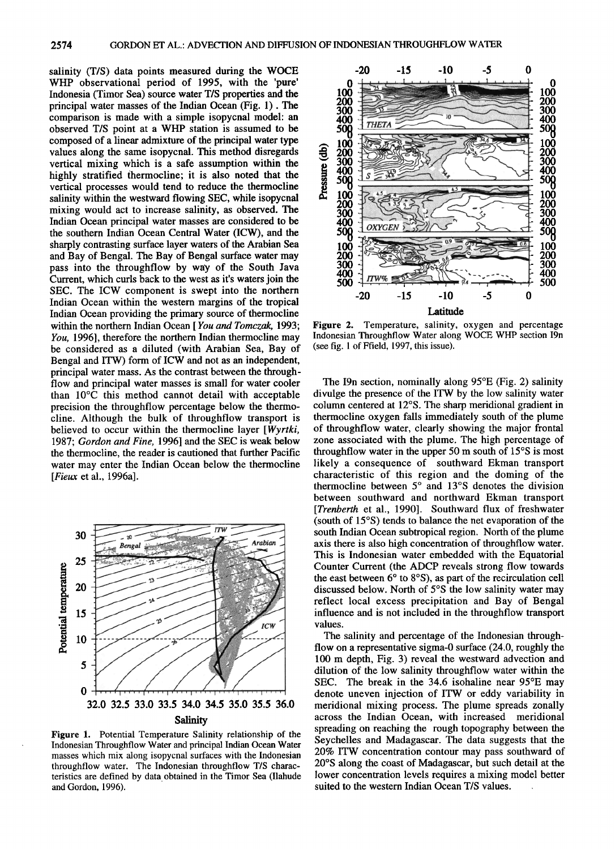**2574 GORDON ET AL.: ADVECTION AND DIFFUSION OF INDONESIAN THROUGHFLOW WATER** 

**salinity (T/S) data points measured during the WOCE WHP observational period of 1995, with the 'pure' Indonesia (Timor Sea) source water T/S properties and the principal water masses of the Indian Ocean (Fig. 1). The comparison is made with a simple isopycnal model: an observed T/S point at a WHP station is assumed to be composed of a linear admixture of the principal water type values along the same isopycnal. This method disregards vertical mixing which is a safe assumption within the**  highly stratified thermocline; it is also noted that the **vertical processes would tend to reduce the thermocline salinity within the westward flowing SEC, while isopycnal mixing would act to increase salinity, as observed. The Indian Ocean principal water masses are considered to be the southern Indian Ocean Central Water (ICW), and the sharply contrasting surface layer waters of the Arabian Sea and Bay of Bengal. The Bay of Bengal surface water may pass into the throughflow by way of the South Java Current, which curls back to the west as it's waters join the SEC. The ICW component is swept into the northern Indian Ocean within the western margins of the tropical Indian Ocean providing the primary source of thermocline within the northern Indian Ocean [ You and Tomczak, 1993; You, 1996], therefore the northern Indian thermocline may be considered as a diluted (with Arabian Sea, Bay of Bengal and ITW) form of ICW and not as an independent, principal water mass. As the contrast between the throughflow and principal water masses is small for water cooler than 10øC this method cannot detail with acceptable precision the throughflow percentage below the thermocline. Although the bulk of throughflow transport is believed to occur within the thermocline layer [Wyrtki, 1987; Gordon and Fine, 1996] and the SEC is weak below the thermocline, the reader is cautioned that further Pacific water may enter the Indian Ocean below the thermocline [Fieux et al., 1996a].** 



**Figure 1. Potential Temperature Salinity relationship of the Indonesian Throughflow Water and principal Indian Ocean Water masses which mix along isopycnal surfaces with the Indonesian throughflow water. The Indonesian throughflow T/S characteristics are defined by data obtained in the Timor Sea (Ilahude and Gordon, 1996).** 



**Figure 2. Temperature, salinity, oxygen and percentage Indonesian Throughflow Water along WOCE WHP section I9n (see fig. 1 of Ffield, 1997, this issue).** 

**The I9n section, nominally along 95øE (Fig. 2) salinity divulge the presence of the ITW by the low salinity water column centered at 12øS. The sharp meridional gradient in thermocline oxygen falls immediately south of the plume of throughflow water, clearly showing the major frontal zone associated with the plume. The high percentage of throughflow water in the upper 50 m south of 15øS is most likely a consequence of southward Ekman transport characteristic of this region and the doming of the**  thermocline between 5° and 13°S denotes the division **between southward and northward Ekman transport [Trenberth et al., 1990]. Southward flux of freshwater (south of 15øS) tends to balance the net evaporation of the south Indian Ocean subtropical region. North of the plume axis there is also high concentration of throughflow water. This is Indonesian water embedded with the Equatorial Counter Current (the ADCP reveals strong flow towards**  the east between 6<sup>°</sup> to 8<sup>°</sup>S), as part of the recirculation cell discussed below. North of 5°S the low salinity water may **reflect local excess precipitation and Bay of Bengal influence and is not included in the throughflow transport values.** 

**The salinity and percentage of the Indonesian throughflow on a representative sigma-0 surface (24.0, roughly the 100 m depth, Fig. 3) reveal the westward advection and dilution of the low salinity throughflow water within the SEC. The break in the 34.6 isohaline near 95øE may denote uneven injection of ITW or eddy variability in meridional mixing process. The plume spreads zonally across the Indian Ocean, with increased meridionai spreading on reaching the rough topography between the Seychelles and Madagascar. The data suggests that the 20% ITW concentration contour may pass southward of 20øS along the coast of Madagascar, but such detail at the lower concentration levels requires a mixing model better suited to the western Indian Ocean T/S values.**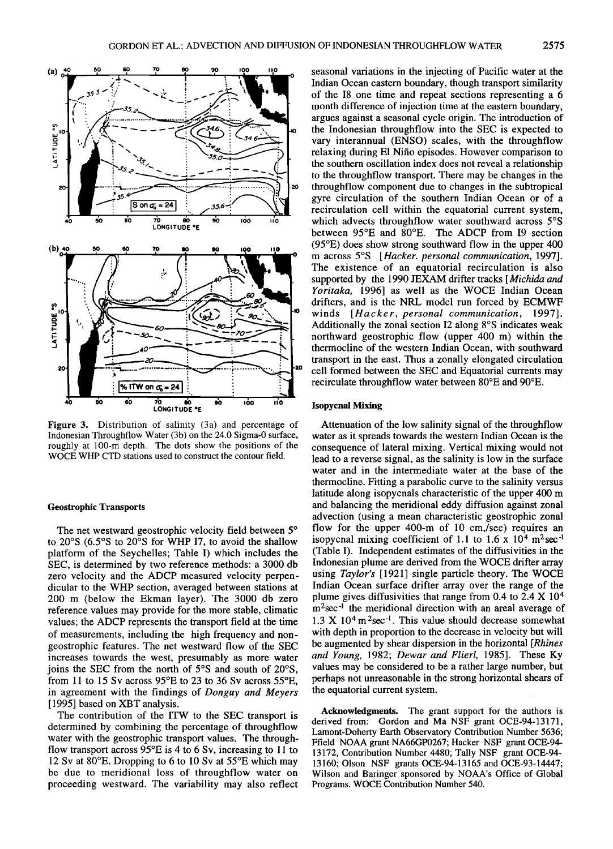

**Figure 3. Distribution of salinity (3a) and percentage of Indonesian Throughflow Water (3b) on the 24.0 Sigma-0 surface,**  roughly at 100-m depth. The dots show the positions of the **WOCE WHP CTD stations used to construct the contour field.** 

### **Geostrophic Transports**

The net westward geostrophic velocity field between 5° to 20°S (6.5°S to 20°S for WHP I7, to avoid the shallow **platform of the Seychelles; Table I) which includes the SEC, is determined by two reference methods: a 3000 db zero velocity and the ADCP measured velocity perpendicular to the WHP section, averaged between stations at 200 m (below the Ekman layer). The 3000 db zero reference values may provide for the more stable, climatic values; the ADCP represents the transport field at the time of measurements, including the high frequency and nongeostrophic features. The net westward flow of the SEC increases towards the west, presumably as more water**  joins the SEC from the north of 5°S and south of 20°S, **from 11 to 15 Sv across 95øE to 23 to 36 Sv across 55øE, in agreement with the findings of Donguy and Meyers [1995] based on XBT analysis.** 

**The contribution of the ITW to the SEC transport is determined by combining the percentage of throughflow water with the geostrophic transport values. The throughflow transport across 95øE is 4 to 6 Sv, increasing to 11 to 12 Sv at 80øE. Dropping to 6 to 10 Sv at 55øE which may be due to meridional loss of throughflow water on proceeding westward. The variability may also reflect**  **seasonal variations in the injecting of Pacific water at the Indian Ocean eastern boundary, though transport similarity of the 18 one time and repeat sections representing a 6 month difference of injection time at the eastern boundary, argues against a seasonal cycle origin. The introduction of the Indonesian throughflow into the SEC is expected to vary interannual (ENSO) scales, with the throughflow relaxing during E1 Nifio episodes. However comparison to the southern oscillation index does not reveal a relationship to the throughflow transport. There may be changes in the throughflow component due to changes in the subtropical gyre circulation of the southern Indian Ocean or of a recirculation cell within the equatorial current system,**  which advects throughflow water southward across 5°S between 95°E and 80°E. The ADCP from I9 section **(95øE) does show strong southward flow in the upper 400 m across 5øS [Hacker. personal communication, 1997]. The existence of an equatorial recirculation is also supported by the 1990 JEXAM drifter tracks [Michida and Yoritaka, 1996] as well as the WOCE Indian Ocean drifters, and is the NRL model run forced by ECMWF winds [Hacker, personal communication, 1997]. Additionally the zonal section 12 along 8øS indicates weak northward geostrophic flow (upper 400 m) within the thermocline of the western Indian Ocean, with southward transport in the east. Thus a zonally elongated circulation cell formed between the SEC and Equatorial currents may**  recirculate throughflow water between 80°E and 90°E.

### **Isopycnal Mixing**

**Attenuation of the low salinity signal of the throughflow water as it spreads towards the western Indian Ocean is the consequence of lateral mixing. Vertical mixing would not lead to a reverse signal, as the salinity is low in the surface water and in the intermediate water at the base of the thermocline. Fitting a parabolic curve to the salinity versus latitude along isopycnals characteristic of the upper 400 m and balancing the meridional eddy diffusion against zonal advection (using a mean characteristic geostrophic zonal flow for the upper 400-m of 10 cm,/sec) requires an**  isopycnal mixing coefficient of 1.1 to  $1.6 \times 10^4$  m<sup>2</sup>sec<sup>-1</sup> **(Table I). Independent estimates of the diffusivities in the Indonesian plume are derived from the WOCE drifter array using Taylor's [1921] single particle theory. The WOCE Indian Ocean surface drifter array over the range of the**  plume gives diffusivities that range from 0.4 to 2.4 X 10<sup>4</sup> m<sup>2</sup>sec<sup>-1</sup> the meridional direction with an areal average of 1.3 X 10<sup>4</sup> m<sup>2</sup>sec<sup>-1</sup>. This value should decrease somewhat **with depth in proportion to the decrease in velocity but will be augmented by shear dispersion in the horizontal [Rhines and Young, 1982; Dewar and Flierl, 1985]. These Ky values may be considered to be a rather large number, but perhaps not unreasonable in the strong horizontal shears of the equatorial current system.** 

**Acknowledgments. The grant support for the authors is derived from: Gordon and Ma NSF grant OCE-94-13171, Lamont-Doherty Earth Observatory Contribution Number 5636; Ffield NOAA grant NA66GP0267; Hacker NSF grant OCE-94- 13172, Contribution Number 4480; Tally NSF grant OCE-94- 13160; Olson NSF grants OCE-94-13165 and OCE-93-14447; Wilson and Baringer sponsored by NOAA's Office of Global Programs. WOCE Contribution Number 540.**